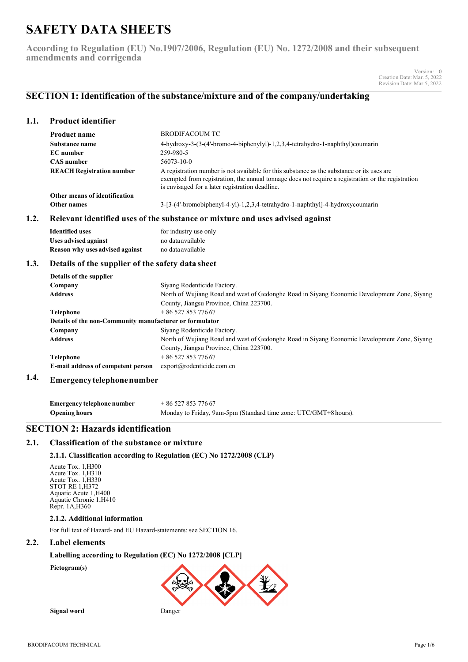# **SAFETY DATA SHEETS**

**According to Regulation (EU) No.1907/2006, Regulation (EU) No. 1272/2008 and their subsequent amendments and corrigenda**

> Version:1.0 Creation Date: Mar. 5, 2022 Revision Date: Mar.5, 2022

## **SECTION 1: Identification of the substance/mixture and of the company/undertaking**

### **1.1. Product identifier**

| <b>Product name</b>              | BRODIFACOUM TC                                                                                                                                                                                                                                      |
|----------------------------------|-----------------------------------------------------------------------------------------------------------------------------------------------------------------------------------------------------------------------------------------------------|
| Substance name                   | 4-hydroxy-3-(3-(4'-bromo-4-biphenylyl)-1,2,3,4-tetrahydro-1-naphthyl)coumarin                                                                                                                                                                       |
| <b>EC</b> number                 | 259-980-5                                                                                                                                                                                                                                           |
| <b>CAS</b> number                | 56073-10-0                                                                                                                                                                                                                                          |
| <b>REACH Registration number</b> | A registration number is not available for this substance as the substance or its uses are<br>exempted from registration, the annual tonnage does not require a registration or the registration<br>is envisaged for a later registration deadline. |
| Other means of identification    |                                                                                                                                                                                                                                                     |
| Other names                      | $3-[3-(4'-bromobiphenyl-4-y]-1,2,3,4-tetrahydro-1-naphthyl]-4-hydroxycoumarin$                                                                                                                                                                      |

### **1.2. Relevant identified uses of the substance or mixture and uses advised against**

| <b>Identified uses</b>          | for industry use only |
|---------------------------------|-----------------------|
| Uses advised against            | no data available     |
| Reason why uses advised against | no data available     |

### **1.3. Details of the supplier of the safety data sheet**

| Details of the supplier                                 |                                                                                             |  |  |
|---------------------------------------------------------|---------------------------------------------------------------------------------------------|--|--|
| Company                                                 | Siyang Rodenticide Factory.                                                                 |  |  |
| <b>Address</b>                                          | North of Wujiang Road and west of Gedonghe Road in Siyang Economic Development Zone, Siyang |  |  |
|                                                         | County, Jiangsu Province, China 223700.                                                     |  |  |
| <b>Telephone</b>                                        | $+8652785377667$                                                                            |  |  |
| Details of the non-Community manufacturer or formulator |                                                                                             |  |  |
| Company                                                 | Siyang Rodenticide Factory.                                                                 |  |  |
| <b>Address</b>                                          | North of Wujiang Road and west of Gedonghe Road in Siyang Economic Development Zone, Siyang |  |  |
|                                                         | County, Jiangsu Province, China 223700.                                                     |  |  |
| <b>Telephone</b>                                        | $+8652785377667$                                                                            |  |  |
| E-mail address of competent person                      | export@rodenticide.comcn                                                                    |  |  |
|                                                         |                                                                                             |  |  |

#### **1.4. Emergencytelephonenumber**

| Emergency telephone number | $+8652785377667$                                                 |
|----------------------------|------------------------------------------------------------------|
| <b>Opening hours</b>       | Monday to Friday, 9am-5pm (Standard time zone: UTC/GMT+8 hours). |

### **SECTION 2: Hazards identification**

### **2.1. Classification of the substance or mixture**

### **2.1.1. Classification according to Regulation (EC) No 1272/2008 (CLP)**

Acute Tox. 1,H300 Acute Tox. 1,H310 Acute Tox. 1,H330 STOT RE 1,H372 Aquatic Acute 1,H400 Aquatic Chronic 1,H410 Repr. 1A,H360

### **2.1.2. Additional information**

For full text of Hazard- and EU Hazard-statements: see SECTION 16.

### **2.2. Label elements**

#### **Labelling according to Regulation (EC) No 1272/2008 [CLP]**

**Pictogram(s)**



**Signal word** Danger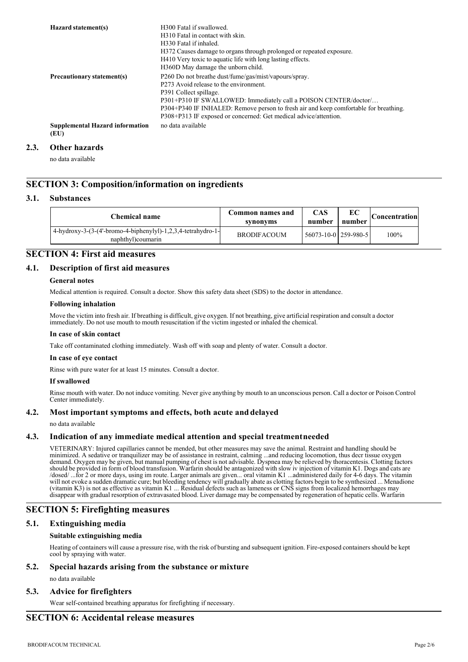| Hazard statement(s)                            | H <sub>300</sub> Fatal if swallowed.<br>H310 Fatal in contact with skin.<br>H330 Fatal if inhaled.<br>H372 Causes damage to organs through prolonged or repeated exposure.<br>H410 Very toxic to aquatic life with long lasting effects.                                                                                                                                                        |
|------------------------------------------------|-------------------------------------------------------------------------------------------------------------------------------------------------------------------------------------------------------------------------------------------------------------------------------------------------------------------------------------------------------------------------------------------------|
| Precautionary statement(s)                     | H360D May damage the unborn child.<br>P260 Do not breathe dust/fume/gas/mist/vapours/spray.<br>P273 Avoid release to the environment.<br>P391 Collect spillage.<br>P301+P310 IF SWALLOWED: Immediately call a POISON CENTER/doctor/<br>P304+P340 IF INHALED: Remove person to fresh air and keep comfortable for breathing.<br>P308+P313 IF exposed or concerned: Get medical advice/attention. |
| <b>Supplemental Hazard information</b><br>(EU) | no data available                                                                                                                                                                                                                                                                                                                                                                               |

#### **2.3. Other hazards**

no data available

### **SECTION 3: Composition/information on ingredients**

#### **3.1. Substances**

| Chemical name                                                                     | Common names and<br>synonyms | <b>CAS</b><br>number   | EС<br>number | Concentration |
|-----------------------------------------------------------------------------------|------------------------------|------------------------|--------------|---------------|
| 4-hydroxy-3-(3-(4'-bromo-4-biphenylyl)-1,2,3,4-tetrahydro-1-<br>naphthyl)coumarin | <b>BRODIFACOUM</b>           | 56073-10-0   259-980-5 |              | 100%          |

## **SECTION 4: First aid measures**

### **4.1. Description of first aid measures**

#### **General notes**

Medical attention is required. Consult a doctor. Show this safety data sheet (SDS) to the doctor in attendance.

#### **Following inhalation**

Move the victim into fresh air. If breathing is difficult, give oxygen. If not breathing, give artificial respiration and consult a doctor immediately. Do not use mouth to mouth resuscitation if the victim ingested or inhaled the chemical.

#### **In case of skin contact**

Take off contaminated clothing immediately. Wash off with soap and plenty of water. Consult a doctor.

### **In case of eye contact**

Rinse with pure water for at least 15 minutes. Consult a doctor.

#### **If swallowed**

Rinse mouth with water. Do not induce vomiting. Never give anything by mouth to an unconscious person. Call a doctor or Poison Control Center immediately.

#### **4.2. Most important symptoms and effects, both acute and delayed**

no data available

### **4.3. Indication of any immediate medical attention and special treatmentneeded**

VETERINARY: Injured capillaries cannot be mended, but other measures may save the animal. Restraint and handling should be minimized. A sedative or tranquilizer may be of assistance in restraint, calming ...and reducing locomotion, thus decr tissue oxygen demand. Oxygen may be given, but manual pumping of chest is not advisable. Dyspnea may be relieved by thoracentesis. Clotting factors should be provided in form of blood transfusion. Warfarin should be antagonized with slow iv injection of vitamin K1. Dogs and cats are<br>/dosed/ ...for 2 or more days, using im route. Larger animals are given... oral vitami will not evoke a sudden dramatic cure; but bleeding tendency will gradually abate as clotting factors begin to be synthesized ... Menadione (vitamin K3) is not as effective as vitamin K1 ... Residual defects such as lameness or CNS signs from localized hemorrhages may disappear with gradual resorption of extravasated blood. Liver damage may be compensated by regeneration of hepatic cells. Warfarin

### **SECTION 5: Firefighting measures**

### **5.1. Extinguishing media**

#### **Suitable extinguishing media**

Heating of containers will cause a pressure rise, with the risk of bursting and subsequent ignition. Fire-exposed containers should be kept cool by spraying with water.

## **5.2. Special hazards arising from the substance or mixture**

### no data available

### **5.3. Advice for firefighters**

Wear self-contained breathing apparatus for firefighting if necessary.

### **SECTION 6: Accidental release measures**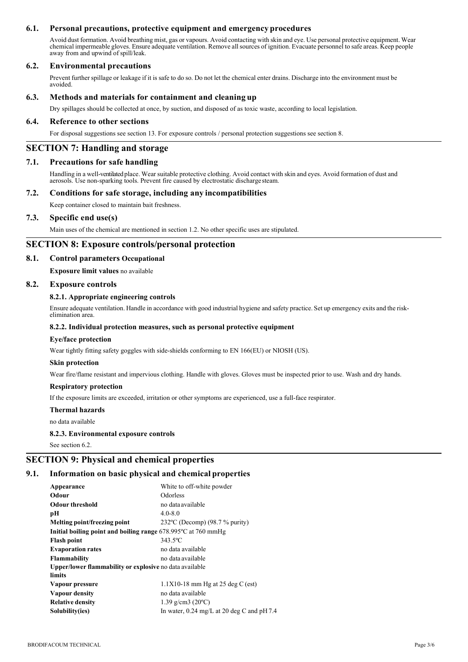### **6.1. Personal precautions, protective equipment and emergency procedures**

Avoid dust formation. Avoid breathing mist, gas or vapours. Avoid contacting with skin and eye. Use personal protective equipment. Wear chemical impermeable gloves. Ensure adequate ventilation. Remove allsources of ignition. Evacuate personnel to safe areas. Keep people away from and upwind of spill/leak.

### **6.2. Environmental precautions**

Prevent further spillage or leakage if it is safe to do so. Do not let the chemical enter drains. Discharge into the environment must be avoided.

#### **6.3. Methods and materials for containment and cleaning up**

Dry spillages should be collected at once, by suction, and disposed of as toxic waste, according to local legislation.

### **6.4. Reference to other sections**

For disposal suggestions see section 13. For exposure controls / personal protection suggestions see section 8.

### **SECTION 7: Handling and storage**

### **7.1. Precautions for safe handling**

Handling in a well-ventilated place. Wear suitable protective clothing. Avoid contact with skin and eyes. Avoid formation of dust and aerosols. Use non-sparking tools. Prevent fire caused by electrostatic discharge steam.

### **7.2. Conditions for safe storage, including any incompatibilities**

Keep container closed to maintain bait freshness.

#### **7.3. Specific end use(s)**

Main uses of the chemical are mentioned in section 1.2. No other specific uses are stipulated.

### **SECTION 8: Exposure controls/personal protection**

#### **8.1. Control parameters Occupational**

**Exposure limit values** no available

#### **8.2. Exposure controls**

#### **8.2.1. Appropriate engineering controls**

Ensure adequate ventilation. Handle in accordance with good industrial hygiene and safety practice. Set up emergency exits and the risk- elimination area.

#### **8.2.2. Individual protection measures, such as personal protective equipment**

#### **Eye/face protection**

Wear tightly fitting safety goggles with side-shields conforming to EN 166(EU) or NIOSH (US).

#### **Skin protection**

Wear fire/flame resistant and impervious clothing. Handle with gloves. Gloves must be inspected prior to use. Wash and dry hands.

#### **Respiratory protection**

If the exposure limits are exceeded, irritation or other symptoms are experienced, use a full-face respirator.

#### **Thermal hazards**

no data available

#### **8.2.3. Environmental exposure controls**

See section 6.2.

### **SECTION 9: Physical and chemical properties**

#### **9.1. Information on basic physical and chemical properties**

| Appearance                                                                | White to off-white powder                            |  |  |
|---------------------------------------------------------------------------|------------------------------------------------------|--|--|
| Odour                                                                     | Odorless                                             |  |  |
| <b>Odour threshold</b>                                                    | no data available                                    |  |  |
| pН                                                                        | $4.0 - 8.0$                                          |  |  |
| Melting point/freezing point                                              | 232 $\degree$ C (Decomp) (98.7 % purity)             |  |  |
| Initial boiling point and boiling range $678.995^{\circ}$ C at $760$ mmHg |                                                      |  |  |
| <b>Flash point</b>                                                        | $343.5$ °C                                           |  |  |
| <b>Evaporation rates</b>                                                  | no data available                                    |  |  |
| <b>Flammability</b>                                                       | no data available                                    |  |  |
| Upper/lower flammability or explosive no data available                   |                                                      |  |  |
| limits                                                                    |                                                      |  |  |
| Vapour pressure                                                           | $1.1X10-18$ mm Hg at 25 deg C (est)                  |  |  |
| Vapour density                                                            | no data available                                    |  |  |
| <b>Relative density</b>                                                   | 1.39 g/cm3 (20 $^{\circ}$ C)                         |  |  |
| Solubility(ies)                                                           | In water, $0.24 \text{ mg/L}$ at 20 deg C and pH 7.4 |  |  |
|                                                                           |                                                      |  |  |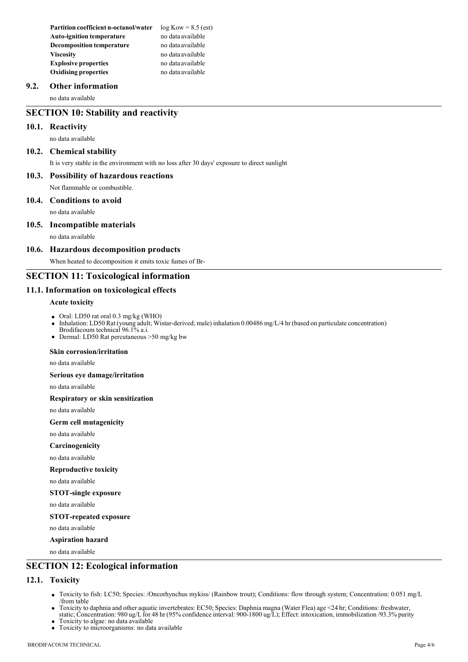**Partition coefficient n-octanol/water** log Kow = 8.5 (est)<br>Auto-ignition temperature no data available **Auto-ignition temperature Decomposition temperature** no data available **Viscosity** no data available **Explosive properties** no data available **Oxidising properties** no data available

### **9.2. Other information**

no data available

### **SECTION 10: Stability and reactivity**

### **10.1. Reactivity**

no data available

### **10.2. Chemical stability**

It is very stable in the environment with no loss after 30 days' exposure to direct sunlight

### **10.3. Possibility of hazardous reactions**

Not flammable or combustible.

#### **10.4. Conditions to avoid**

no data available

#### **10.5. Incompatible materials**

no data available

#### **10.6. Hazardous decomposition products**

When heated to decomposition it emits toxic fumes of Br-

### **SECTION 11: Toxicological information**

### **11.1. Information on toxicological effects**

#### **Acute toxicity**

- Oral: LD50 rat oral 0.3 mg/kg (WHO)
- Inhalation: LD50 Rat (young adult; Wistar-derived; male) inhalation 0.00486 mg/L/4 hr (based on particulate concentration)
- Brodifacoum technical 96.1% a.i.
- Dermal: LD50 Rat percutaneous >50 mg/kg bw

#### **Skin corrosion/irritation**

no data available

**Serious eye damage/irritation**

no data available

**Respiratory or skin sensitization**

no data available

### **Germ cell mutagenicity**

no data available

**Carcinogenicity**

no data available

**Reproductive toxicity** 

no data available

#### **STOT-single exposure**

no data available

#### **STOT-repeated exposure**

no data available

#### **Aspiration hazard**

no data available

### **SECTION 12: Ecological information**

### **12.1. Toxicity**

- Toxicity to fish: LC50; Species: /Oncorhynchus mykiss/ (Rainbow trout); Conditions: flow through system; Concentration: 0.051 mg/L /from table
- Toxicity to daphnia and other aquatic invertebrates: EC50; Species: Daphnia magna (Water Flea) age <24 hr; Conditions: freshwater, static; Concentration: 980 ug/L for 48 hr (95% confidence interval: 900-1800 ug/L); Effect: intoxication, immobilization /93.3% purity
- Toxicity to algae: no data available
- Toxicity to microorganisms: no data available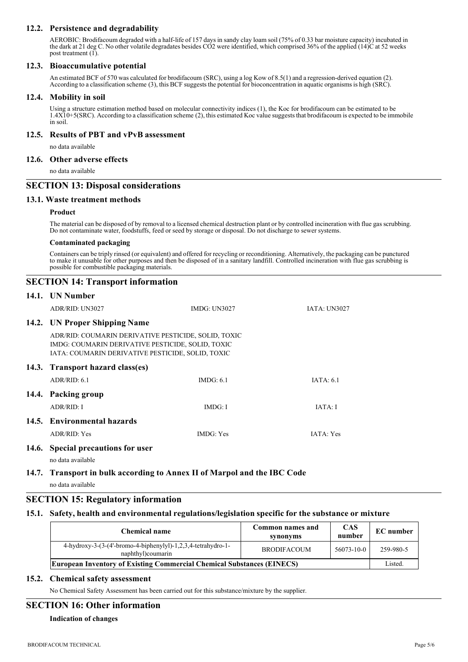### **12.2. Persistence and degradability**

AEROBIC: Brodifacoum degraded with a half-life of 157 days in sandy clay loam soil (75% of 0.33 bar moisture capacity) incubated in the dark at 21 deg C. No other volatile degradates besides CO2 were identified, which comprised 36% of the applied (14)C at 52 weeks post treatment (1).

### **12.3. Bioaccumulative potential**

An estimated BCF of 570 was calculated for brodifacoum (SRC), using a log Kow of 8.5(1) and a regression-derived equation (2). According to a classification scheme (3), this BCF suggests the potential for bioconcentration in aquatic organisms is high (SRC).

#### **12.4. Mobility in soil**

Using a structure estimation method based on molecular connectivity indices (1), the Koc for brodifacoum can be estimated to be 1.4X10+5(SRC). According to a classification scheme (2), this estimated Koc value suggeststhat brodifacoum is expected to be immobile in soil.

### **12.5. Results of PBT and vPvB assessment**

no data available

### **12.6. Other adverse effects**

no data available

### **SECTION 13: Disposal considerations**

#### **13.1. Waste treatment methods**

#### **Product**

The material can be disposed of by removal to a licensed chemical destruction plant or by controlled incineration with flue gas scrubbing. Do not contaminate water, foodstuffs, feed or seed by storage or disposal. Do not discharge to sewer systems.

#### **Contaminated packaging**

Containers can be triply rinsed (or equivalent) and offered for recycling or reconditioning. Alternatively, the packaging can be punctured to make it unusable for other purposes and then be disposed of in a sanitary landfill. Controlled incineration with flue gas scrubbing is possible for combustible packaging materials.

# **SECTION 14: Transport information**

|                                  | 14.1. UN Number                                                                                                                                                |                     |                     |
|----------------------------------|----------------------------------------------------------------------------------------------------------------------------------------------------------------|---------------------|---------------------|
|                                  | ADR/RID: UN3027                                                                                                                                                | <b>IMDG: UN3027</b> | <b>JATA: UN3027</b> |
|                                  | 14.2. UN Proper Shipping Name                                                                                                                                  |                     |                     |
|                                  | ADR/RID: COUMARIN DERIVATIVE PESTICIDE, SOLID, TOXIC<br>IMDG: COUMARIN DERIVATIVE PESTICIDE, SOLID, TOXIC<br>IATA: COUMARIN DERIVATIVE PESTICIDE, SOLID, TOXIC |                     |                     |
| 14.3. Transport hazard class(es) |                                                                                                                                                                |                     |                     |
|                                  | ADR/RID: 6.1                                                                                                                                                   | IMDG: 6.1           | IATA: 6.1           |
|                                  | 14.4. Packing group                                                                                                                                            |                     |                     |
|                                  | ADR/RID: I                                                                                                                                                     | IMDG: I             | IATA: I             |
|                                  | 14.5. Environmental hazards                                                                                                                                    |                     |                     |
|                                  | ADR/RID: Yes                                                                                                                                                   | <b>IMDG:</b> Yes    | IATA: Yes           |
|                                  | 14.6. Special precautions for user                                                                                                                             |                     |                     |

no data available

### **14.7. Transport in bulk according to Annex II of Marpol and the IBC Code** no data available

### **SECTION 15: Regulatory information**

### **15.1. Safety, health and environmental regulations/legislation specific for the substance or mixture**

| <b>Chemical name</b>                                                                | Common names and<br>synonyms | <b>CAS</b><br>number | <b>EC</b> number |
|-------------------------------------------------------------------------------------|------------------------------|----------------------|------------------|
| $4-hydroxy-3-(3-(4'-bromo-4-biphenylyl)-1,2,3,4-tetrakydro-1-$<br>naphthyl)coumarin | <b>BRODIFACOUM</b>           | 56073-10-0           | 259-980-5        |
| <b>European Inventory of Existing Commercial Chemical Substances (EINECS)</b>       |                              |                      | Listed.          |

### **15.2. Chemical safety assessment**

No Chemical Safety Assessment has been carried out for this substance/mixture by the supplier.

### **SECTION 16: Other information**

**Indication of changes**